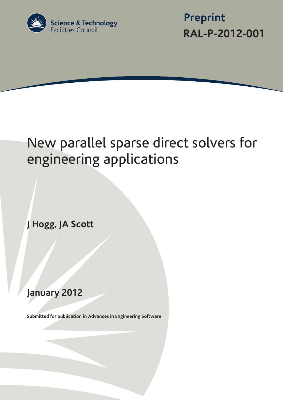

 **Preprint RAL-P-2012-001**

# New parallel sparse direct solvers for engineering applications

**J Hogg, JA Scott**

# **January 2012**

**Submitted for publication in Advances in Engineering Software**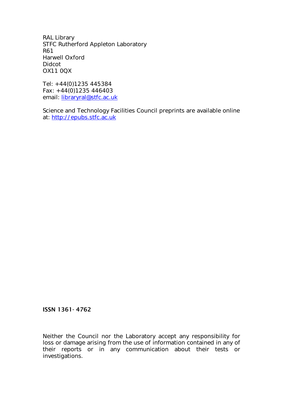RAL Library STFC Rutherford Appleton Laboratory R61 Harwell Oxford Didcot OX11 0QX

Tel: +44(0)1235 445384 Fax: +44(0)1235 446403 email: [libraryral@stfc.ac.uk](mailto:libraryral@stfc.ac.uk)

Science and Technology Facilities Council preprints are available online at: [http://epubs.stfc.ac.uk](http://epubs.stfc.ac.uk/)

# ISSN 1361- 4762

Neither the Council nor the Laboratory accept any responsibility for loss or damage arising from the use of information contained in any of their reports or in any communication about their tests or investigations.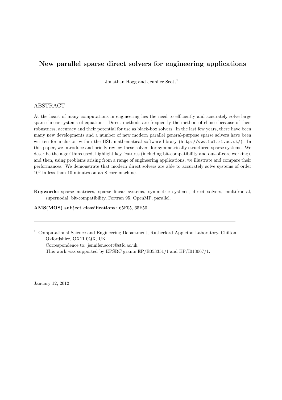# New parallel sparse direct solvers for engineering applications

Jonathan Hogg and Jennifer Scott<sup>1</sup>

# ABSTRACT

At the heart of many computations in engineering lies the need to efficiently and accurately solve large sparse linear systems of equations. Direct methods are frequently the method of choice because of their robustness, accuracy and their potential for use as black-box solvers. In the last few years, there have been many new developments and a number of new modern parallel general-purpose sparse solvers have been written for inclusion within the HSL mathematical software library (http://www.hsl.rl.ac.uk/). In this paper, we introduce and briefly review these solvers for symmetrically structured sparse systems. We describe the algorithms used, highlight key features (including bit-compatibility and out-of-core working), and then, using problems arising from a range of engineering applications, we illustrate and compare their performances. We demonstrate that modern direct solvers are able to accurately solve systems of order  $10^6$  in less than 10 minutes on an 8-core machine.

Keywords: sparse matrices, sparse linear systems, symmetric systems, direct solvers, multifrontal, supernodal, bit-compatibility, Fortran 95, OpenMP, parallel.

#### AMS(MOS) subject classifications: 65F05, 65F50

<sup>1</sup> Computational Science and Engineering Department, Rutherford Appleton Laboratory, Chilton, Oxfordshire, OX11 0QX, UK.

Correspondence to: jennifer.scott@stfc.ac.uk This work was supported by EPSRC grants EP/E053351/1 and EP/I013067/1.

January 12, 2012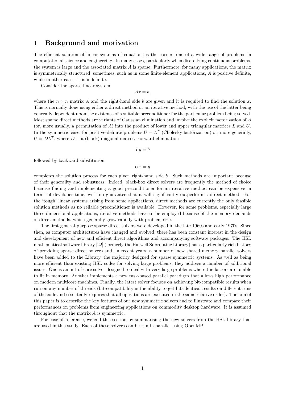# 1 Background and motivation

The efficient solution of linear systems of equations is the cornerstone of a wide range of problems in computational science and engineering. In many cases, particularly when discretizing continuous problems, the system is large and the associated matrix  $A$  is sparse. Furthermore, for many applications, the matrix is symmetrically structured; sometimes, such as in some finite-element applications, A is positive definite, while in other cases, it is indefinite.

Consider the sparse linear system

$$
Ax = b,
$$

where the  $n \times n$  matrix A and the right-hand side b are given and it is required to find the solution x. This is normally done using either a direct method or an iterative method, with the use of the latter being generally dependent upon the existence of a suitable preconditioner for the particular problem being solved. Most sparse direct methods are variants of Gaussian elimination and involve the explicit factorization of A (or, more usually, a permutation of A) into the product of lower and upper triangular matrices  $L$  and  $U$ . In the symmetric case, for positive-definite problems  $U = L<sup>T</sup>$  (Cholesky factorization) or, more generally,  $U = DL<sup>T</sup>$ , where D is a (block) diagonal matrix. Forward elimination

$$
Ly = b
$$

followed by backward substitution

$$
Ux=y
$$

completes the solution process for each given right-hand side b. Such methods are important because of their generality and robustness. Indeed, black-box direct solvers are frequently the method of choice because finding and implementing a good preconditioner for an iterative method can be expensive in terms of developer time, with no guarantee that it will significantly outperform a direct method. For the 'tough' linear systems arising from some applications, direct methods are currently the only feasible solution methods as no reliable preconditioner is available. However, for some problems, especially large three-dimensional applications, iterative methods have to be employed because of the memory demands of direct methods, which generally grow rapildy with problem size.

The first general-purpose sparse direct solvers were developed in the late 1960s and early 1970s. Since then, as computer architectures have changed and evolved, there has been constant interest in the design and development of new and efficient direct algorithms and accompanying software packages. The HSL mathematical software library [22] (formerly the Harwell Subroutine Library) has a particularly rich history of providing sparse direct solvers and, in recent years, a number of new shared memory parallel solvers have been added to the Library, the majority designed for sparse symmetric systems. As well as being more efficient than existing HSL codes for solving large problems, they address a number of additional issues. One is an out-of-core solver designed to deal with very large problems where the factors are unable to fit in memory. Another implements a new task-based parallel paradigm that allows high performance on modern multicore machines. Finally, the latest solver focuses on achieving bit-compatible results when run on any number of threads (bit-compatibility is the ability to get bit-identical results on different runs of the code and essentially requires that all operations are executed in the same relative order). The aim of this paper is to describe the key features of our new symmetric solvers and to illustrate and compare their performances on problems from engineering applications on commodity desktop hardware. It is assumed throughout that the matrix A is symmetric.

For ease of reference, we end this section by summarising the new solvers from the HSL library that are used in this study. Each of these solvers can be run in parallel using OpenMP.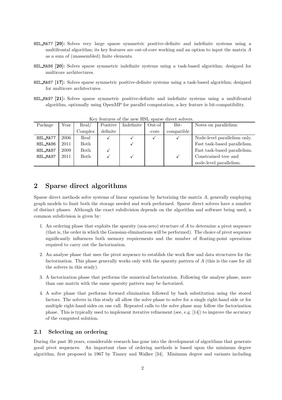- HSL MA77 [29]: Solves very large sparse symmetric positive-definite and indefinite systems using a multifrontal algorithm; its key features are out-of-core working and an option to input the matrix A as a sum of (unassembled) finite elements.
- HSL MA86 [20]: Solves sparse symmetric indefinite systems using a task-based algorithm; designed for multicore architectures.
- HSL MA87 [17]: Solves sparse symmetric positive-definite systems using a task-based algorithm; designed for multicore architectures.
- HSL MA97 [21]: Solves sparse symmetric positive-definite and indefinite systems using a multifrontal algorithm, optionally using OpenMP for parallel computation; a key feature is bit-compatibility.

| TOWER ON OI DIE IN TEACHER DE WILD GILDED NOTED ON |      |         |          |            |        |            |                              |
|----------------------------------------------------|------|---------|----------|------------|--------|------------|------------------------------|
| Package                                            | Year | Real/   | Positive | Indefinite | Out-of | Bit-       | Notes on parallelism         |
|                                                    |      | Complex | definite |            | -core  | compatible |                              |
| HSL_MA77                                           | 2006 | Real    |          |            |        |            | Node-level parallelism only. |
| HSL_MA86                                           | 2011 | Both    |          |            |        |            | Fast task-based parallelism. |
| HSL_MA87                                           | 2009 | Both    |          |            |        |            | Fast task-based parallelism. |
| HSL_MA97                                           | 2011 | Both    |          |            |        |            | Constrained tree and         |
|                                                    |      |         |          |            |        |            | node-level parallelism.      |

Key features of the new HSL sparse direct solvers.

# 2 Sparse direct algorithms

Sparse direct methods solve systems of linear equations by factorizing the matrix A, generally employing graph models to limit both the storage needed and work performed. Sparse direct solvers have a number of distinct phases. Although the exact subdivision depends on the algorithm and software being used, a common subdivision is given by:

- 1. An ordering phase that exploits the sparsity (non-zero) structure of A to determine a pivot sequence (that is, the order in which the Gaussian eliminations will be performed). The choice of pivot sequence significantly influences both memory requirements and the number of floating-point operations required to carry out the factorization.
- 2. An analyse phase that uses the pivot sequence to establish the work flow and data structures for the factorization. This phase generally works only with the sparsity pattern of A (this is the case for all the solvers in this study).
- 3. A factorization phase that performs the numerical factorization. Following the analyse phase, more than one matrix with the same sparsity pattern may be factorized.
- 4. A solve phase that performs forward elimination followed by back substitution using the stored factors. The solvers in this study all allow the solve phase to solve for a single right-hand side or for multiple right-hand sides on one call. Repeated calls to the solve phase may follow the factorization phase. This is typically used to implement iterative refinement (see, e.g. [14]) to improve the accuracy of the computed solution.

# 2.1 Selecting an ordering

During the past 30 years, considerable research has gone into the development of algorithms that generate good pivot sequences. An important class of ordering methods is based upon the minimum degree algorithm, first proposed in 1967 by Tinney and Walker [34]. Minimum degree and variants including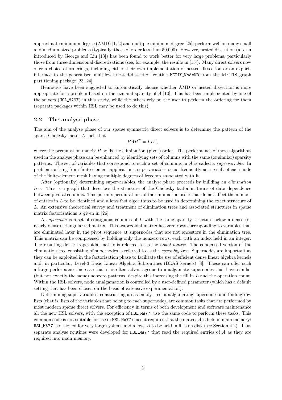approximate minimum degree (AMD) [1, 2] and multiple minimum degree [25], perform well on many small and medium-sized problems (typically, those of order less than 50,000). However, nested dissection (a term introduced by George and Liu [13]) has been found to work better for very large problems, particularly those from three-dimensional discretizations (see, for example, the results in [15]). Many direct solvers now offer a choice of orderings, including either their own implementation of nested dissection or an explicit interface to the generalised multilevel nested-dissection routine METIS NodeND from the METIS graph partitioning package [23, 24].

Heuristics have been suggested to automatically choose whether AMD or nested dissection is more appropriate for a problem based on the size and sparsity of  $A$  [10]. This has been implemented by one of the solvers (HSL MA97) in this study, while the others rely on the user to perform the ordering for them (separate packages within HSL may be used to do this).

#### 2.2 The analyse phase

The aim of the analyse phase of our sparse symmetric direct solvers is to determine the pattern of the sparse Cholesky factor L such that

$$
PAP^T = LL^T,
$$

where the permutation matrix  $P$  holds the elimination (pivot) order. The performance of most algorithms used in the analyse phase can be enhanced by identifying sets of columns with the same (or similar) sparsity patterns. The set of variables that correspond to such a set of columns in A is called a supervariable. In problems arising from finite-element applications, supervariables occur frequently as a result of each node of the finite-element mesh having multiple degrees of freedom associated with it.

After (optionally) determining supervariables, the analyse phase proceeds by building an *elimination* tree. This is a graph that describes the structure of the Cholesky factor in terms of data dependence between pivotal columns. This permits permutations of the elimination order that do not affect the number of entries in L to be identified and allows fast algorithms to be used in determining the exact structure of L. An extensive theoretical survey and treatment of elimination trees and associated structures in sparse matrix factorizations is given in [26].

A supernode is a set of contiguous columns of L with the same sparsity structure below a dense (or nearly dense) triangular submatrix. This trapezoidal matrix has zero rows corresponding to variables that are eliminated later in the pivot sequence at supernodes that are not ancestors in the elimination tree. This matrix can be compressed by holding only the nonzero rows, each with an index held in an integer. The resulting dense trapezoidal matrix is referred to as the nodal matrix. The condensed version of the elimination tree consisting of supernodes is referred to as the assembly tree. Supernodes are important as they can be exploited in the factorization phase to facilitate the use of efficient dense linear algebra kernels and, in particular, Level-3 Basic Linear Algebra Subroutines (BLAS kernels) [8]. These can offer such a large performance increase that it is often advantageous to amalgamate supernodes that have similar (but not exactly the same) nonzero patterns, despite this increasing the fill in L and the operation count. Within the HSL solvers, node amalgamation is controlled by a user-defined parameter (which has a default setting that has been chosen on the basis of extensive experimentation).

Determining supervariables, constructing an assembly tree, amalgamating supernodes and finding row lists (that is, lists of the variables that belong to each supernode), are common tasks that are performed by most modern sparse direct solvers. For efficiency in terms of both development and software maintenance all the new HSL solvers, with the exception of HSL MA77, use the same code to perform these tasks. This common code is not suitable for use in  $HSL_MAT7$  since it requires that the matrix A is held in main memory: HSL MA77 is designed for very large systems and allows A to be held in files on disk (see Section 4.2). Thus separate analyse routines were developed for HSL MA77 that read the required entries of A as they are required into main memory.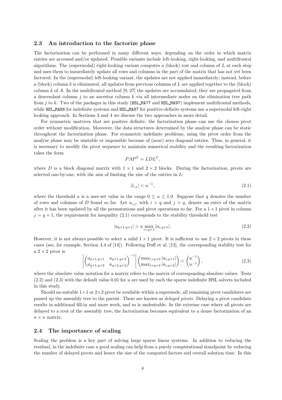#### 2.3 An introduction to the factorize phase

The factorization can be performed in many different ways, depending on the order in which matrix entries are accessed and/or updated. Possible variants include left-looking, right-looking, and multifrontal algorithms. The (supernodal) right-looking variant computes a (block) row and column of  $L$  at each step and uses them to immediately update all rows and columns in the part of the matrix that has not yet been factored. In the (supernodal) left-looking variant, the updates are not applied immediately; instead, before a (block) column  $k$  is eliminated, all updates from previous columns of  $L$  are applied together to the (block) column k of A. In the multifrontal method  $[9, 27]$  the updates are accumulated; they are propagated from a descendant column  $j$  to an ancestor column  $k$  via all intermediate nodes on the elimination tree path from  $j$  to k. Two of the packages in this study (HSL\_MA77 and HSL\_MA97) implement multifrontal methods, while HSL\_MA86 for indefinite systems and HSL\_MA87 for positive-definite systems use a supernodal left-right looking approach. In Sections 3 and 4 we discuss the two approaches in more detail.

For symmetric matrices that are positive definite, the factorization phase can use the chosen pivot order without modification. Moreover, the data structures determined by the analyse phase can be static throughout the factorization phase. For symmetric indefinite problems, using the pivot order from the analyse phase may be unstable or impossible because of (near) zero diagonal entries. Thus, in general, it is necessary to modify the pivot sequence to maintain numerical stability and the resulting factorization takes the form

$$
PAP^T = LDL^T,
$$

where D is a block diagonal matrix with  $1 \times 1$  and  $2 \times 2$  blocks. During the factorization, pivots are selected one-by-one, with the aim of limiting the size of the entries in  $L$ :

$$
|l_{i,j}| < u^{-1},\tag{2.1}
$$

where the threshold u is a user-set value in the range  $0 \le u \le 1.0$ . Suppose that q denotes the number of rows and columns of D found so far. Let  $a_{i,j}$ , with  $i > q$  and  $j > q$ , denote an entry of the matrix after it has been updated by all the permutations and pivot operations so far. For a  $1 \times 1$  pivot in column  $j = q + 1$ , the requirement for inequality (2.1) corresponds to the stability threshold test

$$
|a_{q+1,q+1}| > u \max_{i>q+1} |a_{i,q+1}|.
$$
\n(2.2)

However, it is not always possible to select a valid  $1 \times 1$  pivot. It is sufficient to use  $2 \times 2$  pivots in these cases (see, for example, Section 4.4 of [14]). Following Duff et al. [12], the corresponding stability test for a  $2 \times 2$  pivot is

$$
\left| \begin{pmatrix} a_{q+1,q+1} & a_{q+1,q+2} \\ a_{q+1,q+2} & a_{q+2,q+2} \end{pmatrix}^{-1} \right| \begin{pmatrix} \max_{i>q+2} |a_{i,q+1}| \\ \max_{i>q+2} |a_{i,q+2}| \end{pmatrix} < \begin{pmatrix} u^{-1} \\ u^{-1} \end{pmatrix}, \tag{2.3}
$$

where the absolute value notation for a matrix refers to the matrix of corresponding absolute values. Tests  $(2.2)$  and  $(2.3)$  with the default value 0.01 for u are used by each the sparse indefinite HSL solvers included in this study.

Should no suitable  $1 \times 1$  or  $2 \times 2$  pivot be available within a supernode, all remaining pivot candidates are passed up the assembly tree to the parent. These are known as delayed pivots. Delaying a pivot candidate results in additional fill-in and more work, and so is undesirable. In the extreme case where all pivots are delayed to a root of the assembly tree, the factorization becomes equivalent to a dense factorization of an  $n \times n$  matrix.

#### 2.4 The importance of scaling

Scaling the problem is a key part of solving large sparse linear systems. In addition to reducing the residual, in the indefinite case a good scaling can help from a purely computational standpoint by reducing the number of delayed pivots and hence the size of the computed factors and overall solution time. In this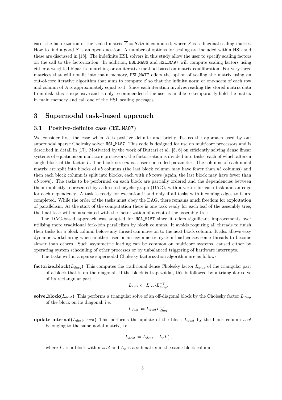case, the factorization of the scaled matrix  $\overline{A} = SAS$  is computed, where S is a diagonal scaling matrix. How to find a good S is an open question. A number of options for scaling are included within HSL and these are discussed in [18]. The indefinite HSL solvers in this study allow the user to specify scaling factors on the call to the factorization. In addition, HSL MA86 and HSL MA97 will compute scaling factors using either a weighted bipartite matching or an iterative method based on matrix equilibration. For very large matrices that will not fit into main memory, HSL MA77 offers the option of scaling the matrix using an out-of-core iterative algorithm that aims to compute  $S$  so that the infinity norm or one-norm of each row and column of  $\overline{A}$  is approximately equal to 1. Since each iteration involves reading the stored matrix data from disk, this is expensive and is only recommended if the user is unable to temporarily hold the matrix in main memory and call one of the HSL scaling packages.

# 3 Supernodal task-based approach

#### 3.1 Positive-definite case (HSL MA87)

We consider first the case when A is positive definite and briefly discuss the approach used by our supernodal sparse Cholesky solver HSL\_MA87. This code is designed for use on multicore processors and is described in detail in [17]. Motivated by the work of Buttari et al. [5, 6] on efficiently solving dense linear systems of equations on multicore processors, the factorization is divided into tasks, each of which alters a single block of the factor  $L$ . The block size nb is a user-controlled parameter. The columns of each nodal matrix are split into blocks of  $nb$  columns (the last block column may have fewer than  $nb$  columns) and then each block column is split into blocks, each with  $nb$  rows (again, the last block may have fewer than nb rows). The tasks to be performed on each block are partially ordered and the dependencies between them implicitly represented by a directed acyclic graph (DAG), with a vertex for each task and an edge for each dependency. A task is ready for execution if and only if all tasks with incoming edges to it are completed. While the order of the tasks must obey the DAG, there remains much freedom for exploitation of parallelism. At the start of the computation there is one task ready for each leaf of the assembly tree; the final task will be associated with the factorization of a root of the assembly tree.

The DAG-based approach was adopted for HSL MA87 since it offers significant improvements over utilising more traditional fork-join parallelism by block columns. It avoids requiring all threads to finish their tasks for a block column before any thread can move on to the next block column. It also allows easy dynamic worksharing when another user or an asymmetric system load causes some threads to become slower than others. Such asymmetric loading can be common on multicore systems, caused either by operating system scheduling of other processes or by unbalanced triggering of hardware interrupts.

The tasks within a sparse supernodal Cholesky factorization algorithm are as follows:

**factorize\_block**( $L_{diag}$ ) This computes the traditional dense Cholesky factor  $L_{diag}$  of the triangular part of a block that is on the diagonal. If the block is trapezoidal, this is followed by a triangular solve of its rectangular part

$$
L_{rect} \Leftarrow L_{rect} L_{diag}^{-T}.
$$

solve block( $L_{dest}$ ) This performs a triangular solve of an off-diagonal block by the Cholesky factor  $L_{diag}$ of the block on its diagonal, i.e.

$$
L_{dest} \leftarrow L_{dest} L_{diag}^{-T}.
$$

update internal( $L_{dest}$ , scol) This performs the update of the block  $L_{dest}$  by the block column scol belonging to the same nodal matrix, i.e.

$$
L_{dest} \leftarrow L_{dest} - L_r L_c^T,
$$

where  $L_r$  is a block within scol and  $L_c$  is a submatrix in the same block column.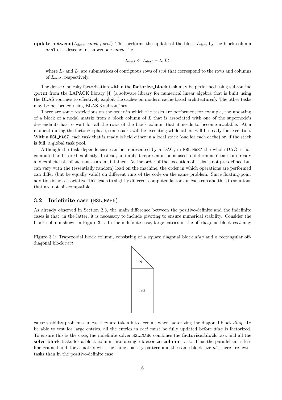update\_between( $L_{dest}$ , snode, scol) This performs the update of the block  $L_{dest}$  by the block column scol of a descendant supernode *snode*, i.e.

$$
L_{dest} \leftarrow L_{dest} - L_r L_c^T,
$$

where  $L_r$  and  $L_c$  are submatrices of contiguous rows of scol that correspond to the rows and columns of  $L_{dest}$ , respectively.

The dense Cholesky factorization within the **factorize-block** task may be performed using subroutine potrf from the LAPACK library [4] (a software library for numerical linear algebra that is built using the BLAS routines to effectively exploit the caches on modern cache-based architectures). The other tasks may be performed using BLAS-3 subroutines.

There are some restrictions on the order in which the tasks are performed; for example, the updating of a block of a nodal matrix from a block column of  $L$  that is associated with one of the supernode's descendants has to wait for all the rows of the block column that it needs to become available. At a moment during the factorize phase, some tasks will be executing while others will be ready for execution. Within HSL MA87, each task that is ready is held either in a local stack (one for each cache) or, if the stack is full, a global task pool.

Although the task dependencies can be represented by a DAG, in HSL MA87 the whole DAG is not computed and stored explicitly. Instead, an implicit representation is used to determine if tasks are ready and explicit lists of such tasks are maintained. As the order of the execution of tasks is not pre-defined but can vary with the (essentially random) load on the machine, the order in which operations are performed can differ (but be equally valid) on different runs of the code on the same problem. Since floating-point addition is not associative, this leads to slightly different computed factors on each run and thus to solutions that are not bit-compatible.

#### 3.2 Indefinite case (HSL MA86)

As already observed in Section 2.3, the main difference between the positive-definite and the indefinite cases is that, in the latter, it is necessary to include pivoting to ensure numerical stability. Consider the block column shown in Figure 3.1. In the indefinite case, large entries in the off-diagonal block rect may

Figure 3.1: Trapezoidal block column, consisting of a square diagonal block *diag* and a rectangular offdiagonal block rect.



cause stability problems unless they are taken into account when factorizing the diagonal block diag. To be able to test for large entries, all the entries in rect must be fully updated before diag is factorized. To ensure this is the case, the indefinite solver HSL MA86 combines the factorize block task and all the solve block tasks for a block column into a single **factorize column** task. Thus the parallelism is less fine-grained and, for a matrix with the same sparisty pattern and the same block size  $nb$ , there are fewer tasks than in the positive-definite case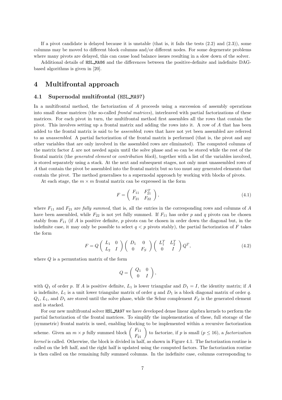If a pivot candidate is delayed because it is unstable (that is, it fails the tests  $(2.2)$  and  $(2.3)$ ), some columns may be moved to different block columns and/or different nodes. For some degenerate problems where many pivots are delayed, this can cause load balance issues resulting in a slow down of the solver.

Additional details of HSL MA86 and the differences between the positive-definite and indefinite DAGbased algorithms is given in [20].

# 4 Multifrontal approach

#### 4.1 Supernodal multifrontal (HSL MA97)

In a multifrontal method, the factorization of A proceeds using a succession of assembly operations into small dense matrices (the so-called frontal matrices), interleaved with partial factorizations of these matrices. For each pivot in turn, the multifrontal method first assembles all the rows that contain the pivot. This involves setting up a frontal matrix and adding the rows into it. A row of A that has been added to the frontal matrix is said to be assembled; rows that have not yet been assembled are referred to as unassembled. A partial factorization of the frontal matrix is performed (that is, the pivot and any other variables that are only involved in the assembled rows are eliminated). The computed columns of the matrix factor L are not needed again until the solve phase and so can be stored while the rest of the frontal matrix (the *generated element* or *contribution block*), together with a list of the variables involved, is stored separately using a stack. At the next and subsequent stages, not only must unassembled rows of A that contain the pivot be assembled into the frontal matrix but so too must any generated elements that contain the pivot. The method generalises to a supernodal approach by working with blocks of pivots.

At each stage, the  $m \times m$  frontal matrix can be expressed in the form

$$
F = \begin{pmatrix} F_{11} & F_{21}^T \\ F_{21} & F_{22} \end{pmatrix}, \tag{4.1}
$$

where  $F_{11}$  and  $F_{21}$  are *fully summed*, that is, all the entries in the corresponding rows and columns of A have been assembled, while  $F_{22}$  is not yet fully summed. If  $F_{11}$  has order p and q pivots can be chosen stably from  $F_{11}$  (if A is positive definite, p pivots can be chosen in order down the diagonal but, in the indefinite case, it may only be possible to select  $q < p$  pivots stably), the partial factorization of F takes the form

$$
F = Q\left(\begin{array}{cc} L_1 & 0\\ L_2 & I \end{array}\right) \left(\begin{array}{cc} D_1 & 0\\ 0 & F_S \end{array}\right) \left(\begin{array}{cc} L_1^T & L_2^T\\ 0 & I \end{array}\right) Q^T, \tag{4.2}
$$

where  $Q$  is a permutation matrix of the form

$$
Q=\left(\begin{array}{cc} Q_1 & 0 \\ 0 & I \end{array}\right),
$$

with  $Q_1$  of order p. If A is positive definite,  $L_1$  is lower triangular and  $D_1 = I$ , the identity matrix; if A is indefinite,  $L_1$  is a unit lower triangular matrix of order q and  $D_1$  is a block diagonal matrix of order q.  $Q_1, L_1$ , and  $D_1$  are stored until the solve phase, while the Schur complement  $F_S$  is the generated element and is stacked.

For our new multifrontal solver HSL MA97 we have developed dense linear algebra kernels to perform the partial factorization of the frontal matrices. To simplify the implementation of these, full storage of the (symmetric) frontal matrix is used, enabling blocking to be implemented within a recursive factorization scheme. Given an  $m \times p$  fully summed block  $\begin{pmatrix} F_{11} \\ F_{21} \end{pmatrix}$  to factorize, if p is small  $(p \le 16)$ , a factorization kernel is called. Otherwise, the block is divided in half, as shown in Figure 4.1. The factorization routine is called on the left half, and the right half is updated using the computed factors. The factorization routine is then called on the remaining fully summed columns. In the indefinite case, columns corresponding to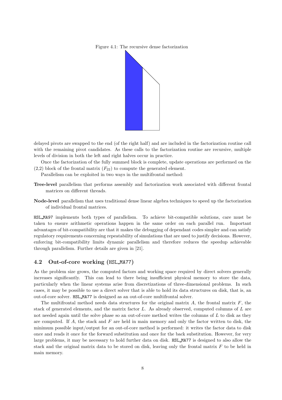Figure 4.1: The recursive dense factorization



delayed pivots are swapped to the end (of the right half) and are included in the factorization routine call with the remaining pivot candidates. As these calls to the factorization routine are recursive, multiple levels of division in both the left and right halves occur in practice.

Once the factorization of the fully summed block is complete, update operations are performed on the  $(2,2)$  block of the frontal matrix  $(F_{22})$  to compute the generated element.

Parallelism can be exploited in two ways in the multifrontal method:

- Tree-level parallelism that performs assembly and factorization work associated with different frontal matrices on different threads.
- Node-level parallelism that uses traditional dense linear algebra techniques to speed up the factorization of individual frontal matrices.

HSL MA97 implements both types of parallelism. To achieve bit-compatible solutions, care must be taken to ensure arithmetic operations happen in the same order on each parallel run. Important advantages of bit-compatibility are that it makes the debugging of dependant codes simpler and can satisfy regulatory requirements concerning repeatability of simulations that are used to justify decisions. However, enforcing bit-compatibility limits dynamic parallelism and therefore reduces the speedup achievable through parallelism. Further details are given in [21].

#### 4.2 Out-of-core working (HSL MA77)

As the problem size grows, the computed factors and working space required by direct solvers generally increases significantly. This can lead to there being insufficient physical memory to store the data, particularly when the linear systems arise from discretizations of three-dimensional problems. In such cases, it may be possible to use a direct solver that is able to hold its data structures on disk, that is, an out-of-core solver. HSL MA77 is designed as an out-of-core multifrontal solver.

The multifrontal method needs data structures for the original matrix  $A$ , the frontal matrix  $F$ , the stack of generated elements, and the matrix factor L. As already observed, computed columns of L are not needed again until the solve phase so an out-of-core method writes the columns of  $L$  to disk as they are computed. If  $A$ , the stack and  $F$  are held in main memory and only the factor written to disk, the minimum possible input/output for an out-of-core method is performed: it writes the factor data to disk once and reads it once for the forward substitution and once for the back substitution. However, for very large problems, it may be necessary to hold further data on disk. HSL MA77 is designed to also allow the stack and the original matrix data to be stored on disk, leaving only the frontal matrix  $F$  to be held in main memory.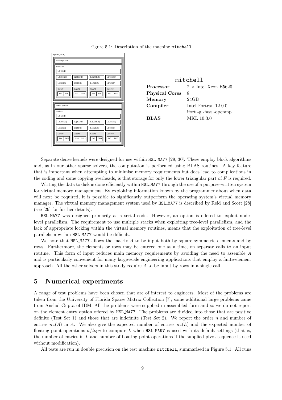

Figure 5.1: Description of the machine mitchell.

| mitchell              |                             |  |  |  |
|-----------------------|-----------------------------|--|--|--|
| Processor             | $2 \times$ Intel Xeon E5620 |  |  |  |
| <b>Physical Cores</b> | 8                           |  |  |  |
| Memory                | 24GB                        |  |  |  |
| Compiler              | Intel Fortran 12.0.0        |  |  |  |
|                       | ifort -g -fast -openmp      |  |  |  |
| <b>BLAS</b>           | MKL 10.3.0                  |  |  |  |

Separate dense kernels were designed for use within HSL MA77 [29, 30]. These employ block algorithms and, as in our other sparse solvers, the computation is performed using BLAS routines. A key feature that is important when attempting to minimise memory requirements but does lead to complications in the coding and some copying overheads, is that storage for only the lower triangular part of  $F$  is required.

Writing the data to disk is done efficiently within HSL MA77 through the use of a purpose-written system for virtual memory management. By exploiting information known by the programmer about when data will next be required, it is possible to significantly outperform the operating system's virtual memory manager. The virtual memory management system used by HSL MA77 is described by Reid and Scott [28] (see [29] for further details).

HSL MA77 was designed primarily as a serial code. However, an option is offered to exploit nodelevel parallelism. The requirement to use multiple stacks when exploiting tree-level parallelism, and the lack of appropriate locking within the virtual memory routines, means that the exploitation of tree-level parallelism within HSL MA77 would be difficult.

We note that  $HSL$  MA77 allows the matrix A to be input both by square symmetric elements and by rows. Furthermore, the elements or rows may be entered one at a time, on separate calls to an input routine. This form of input reduces main memory requirements by avoiding the need to assemble A and is particularly convenient for many large-scale engineering applications that employ a finite-element approach. All the other solvers in this study require A to be input by rows in a single call.

# 5 Numerical experiments

A range of test problems have been chosen that are of interest to engineers. Most of the problems are taken from the University of Florida Sparse Matrix Collection [7]; some additional large problems came from Anshul Gupta of IBM. All the problems were supplied in assembled form and so we do not report on the element entry option offered by HSL MA77. The problems are divided into those that are positive definite (Test Set 1) and those that are indefinite (Test Set 2). We report the order n and number of entries  $nz(A)$  in A. We also give the expected number of entries  $nz(L)$  and the expected number of floating-point operations  $n \text{ flops}$  to compute L when HSL\_MA97 is used with its default settings (that is, the number of entries in  $L$  and number of floating-point operations if the supplied pivot sequence is used without modification).

All tests are run in double precision on the test machine mitchell, summarised in Figure 5.1. All runs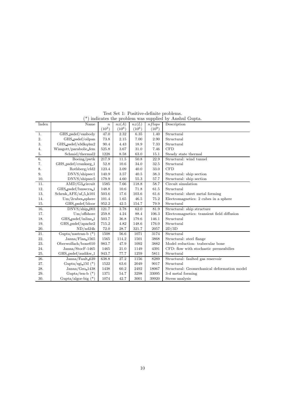|                   |                         | indicates the problem was supplied by Triismur Gupta. |          |          |            |                                             |  |
|-------------------|-------------------------|-------------------------------------------------------|----------|----------|------------|---------------------------------------------|--|
| Index             | Name                    | $\boldsymbol{n}$                                      | nz(A)    | nz(L)    | nflops     | Description                                 |  |
|                   |                         | $(10^3)$                                              | $(10^6)$ | $(10^6)$ | $(10^{9})$ |                                             |  |
| 1.                | GHS_psdef/vanbody       | 47.0                                                  | 2.32     | 6.35     | 1.40       | Structural                                  |  |
| 2.                | GHS_psdef/oilpan        | 73.8                                                  | 2.15     | 7.00     | 2.90       | Structural                                  |  |
| 3.                | GHS_psdef/s3dkq4m2      | 90.4                                                  | 4.43     | 18.9     | 7.33       | Structural                                  |  |
| 4.                | Wissgott/parabolic_fem  | 525.8                                                 | 3.67     | 31.0     | 7.46       | <b>CFD</b>                                  |  |
| 5.                | Schmid/thermal2         | 1228                                                  | 8.58     | 63.0     | 15.1       | Steady state thermal                        |  |
| 6.                | Boeing/pwtk             | 217.9                                                 | 11.5     | 50.8     | 22.9       | Structural: wind tunnel                     |  |
| 7.                | GHS_psdef/crankseg_1    | 52.8                                                  | 10.6     | 34.0     | 32.5       | Structural                                  |  |
| 8.                | Rothberg/cfd2           | 123.4                                                 | 3.09     | 40.0     | 33.0       | <b>CFD</b>                                  |  |
| 9.                | DNVS/shipsec1           | 140.9                                                 | 3.57     | 40.5     | 38.3       | Structural: ship section                    |  |
| 10.               | DNVS/shipsec5           | 179.9                                                 | 4.60     | 55.3     | 57.7       | Structural: ship section                    |  |
| $\overline{11}$ . | AMD/G3 circuit          | 1585                                                  | 7.66     | 118.8    | 58.7       | Circuit simulation                          |  |
| 12.               | GHS_psdef/bmwcra_1      | 148.8                                                 | 10.6     | 71.8     | 61.5       | Structural                                  |  |
| 13.               | Schenk_AFE/af_5_k101    | 503.6                                                 | 17.6     | 103.6    | 61.6       | Structural: sheet metal forming             |  |
| 14.               | $Um/2cubes\_sphere$     | 101.4                                                 | 1.65     | 46.5     | 75.2       | Electromagnetics: 2 cubes in a sphere       |  |
| 15.               | GHS_psdef/ldoor         | 952.2                                                 | 42.5     | 154.7    | 79.9       | Structural                                  |  |
| 16.               | DNVS/ship.003           | 121.7                                                 | 3.78     | 62.0     | 81.9       | Structural: ship structure                  |  |
| 17.               | Um/offshore             | 259.8                                                 | 4.24     | 88.4     | 106.3      | Electromagnetics: transient field diffusion |  |
| 18.               | GHS_psdef/inline_1      | 503.7                                                 | 36.8     | 179.6    | 146.1      | Structural                                  |  |
| 19.               | GHS_psdef/apache2       | 715.2                                                 | 4.82     | 148.6    | 176.0      | Structural                                  |  |
| 20.               | ND/nd24k                | 72.0                                                  | 28.7     | 321.7    | 2057       | 2D/3D                                       |  |
| 21.               | Gupta/nastran-b $(*)$   | 1508                                                  | 56.6     | 1071     | 3174       | Structural                                  |  |
| 22.               | Janna/Flan_1565         | 1565                                                  | 114.2    | 1501     | 3868       | Structural: steel flange                    |  |
| 23.               | Oberwolfach/bone010     | 983.7                                                 | 47.9     | 1092     | 3882       | Model reduction: trabecular bone            |  |
| 24.               | Janna/StocF-1465        | 1465                                                  | 21.0     | 1149     | 4391       | CFD: flow with stochastic permeabilies      |  |
| 25.               | GHS_psdef/audikw_1      | 943.7                                                 | 77.7     | 1259     | 5811       | Structural                                  |  |
| 26.               | Janna/Fault 639         | 638.8                                                 | 27.2     | 1156     | 8289       | Structural: faulted gas reservoir           |  |
| 27.               | Gupta/sgi_1M $(*)$      | 1522                                                  | 63.6     | 2049     | 9017       | Structural                                  |  |
| 28.               | ${\rm Janna/Geo\_1438}$ | 1438                                                  | 60.2     | 2492     | 18067      | Structural: Geomechanical deformation model |  |
| 29.               | Gupta/ten-b $(*)$       | 1371                                                  | 54.7     | 3298     | 33095      | 3-d metal forming                           |  |
| 30.               | Gupta/algor-big (*)     | 1074                                                  | 42.7     | 3001     | 39920      | Stress analysis                             |  |

Test Set 1: Positive-definite problems. (\*) indicates the problem was supplied by Anshul Gupta.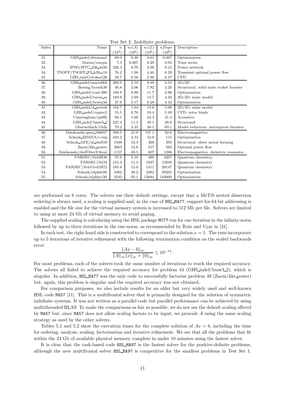| rest set 2. indefinite problems. |                             |                  |          |          |            |                                        |  |
|----------------------------------|-----------------------------|------------------|----------|----------|------------|----------------------------------------|--|
| Index                            | Name                        | $\boldsymbol{n}$ | nz(A)    | nz(L)    | nflops     | Description                            |  |
|                                  |                             | $(10^3)$         | $(10^6)$ | $(10^6)$ | $(10^{9})$ |                                        |  |
| 31.                              | GHS_indef/dixmaanl          | 60.0             | 0.30     | 0.61     | 0.007      | Optimization                           |  |
| 32.                              | Marini/eurqsa               | 7.3              | 0.007    | 0.29     | 0.03       | Time series                            |  |
| 33.                              | IPSO/HTC 336 4438           | 226.3            | 0.78     | 2.98     | 0.12       | Power network                          |  |
| 34.                              | TSOPF/TSOPF FS b39_c19      | 76.2             | 1.98     | 4.40     | 0.29       | Transient optimal power flow           |  |
| 35.                              | GHS_indef/stokes128         | 49.7             | 0.56     | 2.98     | 0.37       | CFD                                    |  |
| 36.                              | GHS_indef/mario002          | 389.9            | 2.10     | 8.09     | 0.55       | 2D/3D                                  |  |
| 37.                              | Boeing/bcsstk39             | 46.8             | 2.06     | 7.92     | 2.20       | Structural: solid state rocket booster |  |
| 38.                              | GHS_indef/cont-300          | 180.9            | 0.99     | 11.7     | 2.96       | Optimization                           |  |
| 39.                              | GHS_indef/turon_m           | 189.9            | 1.69     | 13.7     | 4.23       | $2D/3D$ : mine model                   |  |
| 40.                              | GHS_indef/bratu3d           | 27.8             | 0.17     | 6.28     | 4.42       | Optimization                           |  |
| 41.                              | GHS indef/d_pretok          | 182.7            | 1.64     | 14.6     | 5.06       | $2D/3D$ : mine model                   |  |
| 42.                              | GHS indef/copter2           | 55.5             | 0.76     | 10.4     | 5.49       | CFD: rotor blade                       |  |
| 43.                              | Cunningham/qa8fk            | 66.1             | 1.66     | 24.3     | 21.3       | Acoustics                              |  |
| 44.                              | GHS_indef/bmw3_2            | 227.4            | 11.3     | 49.1     | 29.8       | Structural                             |  |
| 45.                              | Oberwolfach/t3dh            | 79.2             | 4.35     | 48.1     | 69.1       | Model reduction: micropyros thruster   |  |
| 46.                              | Dziekonski/gsm_106857       | 589.5            | 21.8     | 137.1    | 82.6       | Electromagnetics                       |  |
| 47.                              | Schenk IBMNA/c-big          | 345.2            | 2.34     | 52.0     | 115        | Optimization                           |  |
| 48.                              | Schenk_AFE/af_shell10       | 1508             | 52.3     | 368      | 393        | Structural: sheet metal forming        |  |
| 49.                              | Zaoui/kkt_power             | 2063             | 12.8     | 217      | 562        | Optimal power flow                     |  |
| 50.                              | Dziekonski/dielFilterV2real | 1157             | 48.5     | 607      | 1296       | Electromagnetics: dielectric resonator |  |
| 51.                              | PARSEC/Si34H36              | 97.6             | 5.16     | 486      | 4267       | Quantum chemistry                      |  |
| 52.                              | PARSEC/SiO2                 | 155.3            | 11.3     | 1037     | 13249      | Quantum chemistry                      |  |
| 53.                              | PARSEC/Si41Ge41H72          | 185.6            | 15.0     | 1411     | 20147      | Quantum chemistry                      |  |
| 54.                              | Schenk/nlpkkt80             | 1062             | 28.2     | 2282     | 29265      | Optimization                           |  |
| 55.                              | Schenk/nlpkkt120            | 3542             | 95.1     | 13684    | 143600     | Optimization                           |  |

Test  $\alpha$ <sup>1</sup> 2. Indefinite problem

are performed on 8 cores. The solvers use their default settings, except that a MeTiS nested dissection ordering is always used, a scaling is supplied and, in the case of HSL MA77, support for 64-bit addressing is enabled and the file size for the virtual memory system is increased to 512 Mb per file. Solvers are limited to using at most 24 Gb of virtual memory to avoid paging.

The supplied scaling is calculating using the HSL package MC77 run for one iteration in the infinity-norm followed by up to three iterations in the one-norm, as recommended by Ruiz and Ucar in [31].

In each test, the right-hand side is constructed to correspond to the solution  $x = 1$ . The runs incorporate up to 5 iterations of iterative refinement with the following termination condition on the scaled backwards error:

$$
\frac{\|Ax - b\|_{\infty}}{\|A\|_{\infty} \|x\|_{\infty} + \|b\|_{\infty}} \le 10^{-14}.
$$

For most problems, each of the solvers took the same number of iterations to reach the required accuracy. The solvers all failed to achieve the required accuracy for problem 44 (GHS indef/bmw3 2), which is singular. In addition, HSL\_MA77 was the only code to successfully factorize problem 49 (Zaoui/kkt\_power) but, again, this problem is singular and the required accuracy was not obtained.

For comparison purposes, we also include results for an older but very widely used and well-known HSL code MA57 [11]. This is a multifrontal solver that is primarily designed for the solution of symmetric indefinite systems. It was not written as a parallel code but parallel performance can be achieved by using multithreaded BLAS. To make the comparisons as fair as possible, we do not use the default scaling offered by MA57 but, since MA57 does not allow scaling factors to be input, we prescale A using the same scaling strategy as used by the other solvers.

Tables 5.1 and 5.2 show the execution times for the complete solution of  $Ax = b$ , including the time for ordering, analysis, scaling, factorization and iterative refinement. We see that all the problems that fit within the 24 Gb of available physical memory complete in under 10 minutes using the fastest solver.

It is clear that the task-based code HSL MA87 is the fastest solver for the positive-definite problems, although the new multifrontal solver HSL MA97 is competitive for the smallest problems in Test Set 1.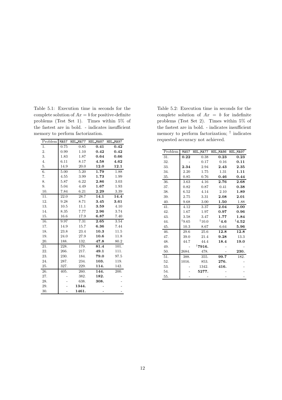Table 5.1: Execution time in seconds for the complete solution of  $Ax = b$  for positive-definite problems (Test Set 1). Times within 5% of the fastest are in bold. - indicates insufficient memory to perform factorization.

| Problem | MA57 | HSL_MA77 | HSL_MA87 | HSL_MA97 |
|---------|------|----------|----------|----------|
| 1.      | 0.75 | 0.85     | 0.41     | 0.42     |
| 2.      | 0.99 | 1.10     | 0.42     | 0.42     |
| 3.      | 1.83 | 1.87     | 0.64     | 0.66     |
| 4.      | 6.11 | 8.17     | 4.58     | 4.62     |
| 5.      | 14.9 | 20.0     | 12.0     | 12.1     |
| 6.      | 5.00 | 5.20     | 1.79     | 1.88     |
| 7.      | 4.55 | 3.99     | 1.73     | 1.99     |
| 8.      | 5.87 | 6.22     | 2.86     | 3.03     |
| 9.      | 5.04 | 4.49     | 1.67     | 1.93     |
| 10.     | 7.84 | 6.21     | 2.29     | 3.39     |
| 11.     | 22.0 | 28.7     | 14.1     | 14.4     |
| 12.     | 9.28 | 8.71     | 3.45     | 3.61     |
| 13.     | 10.5 | 11.1     | 3.59     | 4.10     |
| 14.     | 8.35 | 7.77     | 2.96     | 3.74     |
| 15.     | 16.6 | 17.9     | 6.87     | 7.40     |
| 16.     | 9.97 | 7.31     | 2.65     | 3.54     |
| 17.     | 14.9 | 15.7     | 6.36     | 7.44     |
| 18.     | 23.8 | 23.4     | 10.3     | 11.5     |
| 19.     | 24.0 | 27.9     | 10.6     | 11.8     |
| 20.     | 188. | 132.     | 47.8     | 80.2     |
| 21.     | 228. | 179.     | 81.4     | 101.     |
| 22.     | 266. | 217.     | 49.1     | 111.     |
| 23.     | 230. | 184.     | 79.0     | 97.5     |
| 24.     | 287. | 234.     | 103.     | 119.     |
| 25.     | 327. | 229.     | 114.     | 142.     |
| 26.     | 405. | 260.     | 144.     | 200.     |
| 27.     |      | 382.     | 182.     |          |
| 28.     |      | 638.     | 308.     |          |
| 29.     |      | 1344.    |          |          |
| 30.     |      | 1461.    |          |          |

Table 5.2: Execution time in seconds for the complete solution of  $Ax = b$  for indefinite problems (Test Set 2). Times within 5% of the fastest are in bold. - indicates insufficient memory to perform factorization; † indicates requested accuracy not achieved.

| Problem |       | MA57 HSL_MA77 HSL_MA86 HSL_MA97 |                |                 |
|---------|-------|---------------------------------|----------------|-----------------|
| 31.     | 0.22  | 0.38                            | 0.23           | 0.23            |
| 32.     |       | 0.17                            | 0.16           | 0.11            |
| 33.     | 2.34  | 2.94                            | 2.43           | 2.35            |
| 34.     | 2.20  | 1.75                            | 1.31           | 1.11            |
| 35.     | 0.85  | 0.76                            | 0.46           | 0.44            |
| 36.     | 3.63  | 4.16                            | 2.76           | 2.68            |
| 37.     | 0.82  | 0.87                            | 0.41           | 0.38            |
| 38.     | 6.52  | 4.14                            | 2.10           | 1.89            |
| 39.     | 2.75  | 3.31                            | 2.08           | 2.01            |
| 40.     | 9.68  | 3.00                            | 1.50           | 1.88            |
| 41.     | 4.12  | 3.37                            | 2.04           | 2.00            |
| 42.     | 1.67  | 1.97                            | 0.97           | 0.96            |
| 43.     | 3.58  | 3.47                            | 1.77           | 1.84            |
| 44.     | †9.65 | 10.0                            | $^\dagger 4.6$ | $^\dagger 4.52$ |
| 45.     | 10.3  | 8.67                            | 6.64           | 5.96            |
| 46.     | 29.6  | 25.6                            | 12.8           | 12.8            |
| 47.     | 39.0  | 21.4                            | 9.28           | 13.3            |
| 48.     | 44.7  | 44.4                            | 18.4           | 19.0            |
| 49.     |       | $\mathbf{17916}.$               |                |                 |
| 50.     | 2684. | 478.                            |                | 230.            |
| 51.     | 388.  | 355.                            | 99.7           | 182.            |
| 52.     | 1016. | 853.                            | 276.           |                 |
| 53.     |       | 1342.                           | 416.           |                 |
| 54.     |       | 5277.                           |                |                 |
| 55.     |       |                                 |                |                 |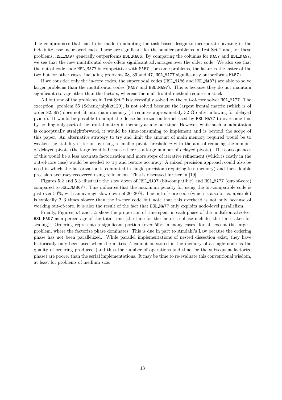The compromises that had to be made in adapting the task-based design to incorporate pivoting in the indefinite case incur overheads. These are significant for the smaller problems in Test Set 2 and, for these problems, HSL MA97 generally outperforms HSL MA86. By comparing the columns for MA57 and HSL MA97, we see that the new multifrontal code offers significant advantages over the older code. We also see that the out-of-code code HSL MA77 is competitive with MA57 (for some problems, the latter is the faster of the two but for other cases, including problems 38, 39 and 47, HSL MA77 significantly outperforms MA57).

If we consider only the in-core codes, the supernodal codes (HSL MA86 and HSL MA87) are able to solve larger problems than the multifrontal codes (MA57 and HSL MA97). This is because they do not maintain significant storage other than the factors, whereas the multifrontal method requires a stack.

All but one of the problems in Test Set 2 is successfully solved by the out-of-core solver HSL MA77. The exception, problem 55 (Schenk/nlpkkt120), is not solved because the largest frontal matrix (which is of order 82,567) does not fit into main memory (it requires approximetaly 32 Gb after allowing for delayed pviots). It would be possible to adapt the dense factorization kernel used by HSL MA77 to overcome this by holding only part of the frontal matrix in memory at any one time. However, while such an adaptation is conceptually straightforward, it would be time-consuming to implement and is beyond the scope of this paper. An alternative strategy to try and limit the amount of main memory required would be to weaken the stability criterion by using a smaller pivot threshold  $u$  with the aim of reducing the number of delayed pivots (the large front is because there is a large number of delayed pivots). The consequences of this would be a less accurate factorization and more steps of iterative refinement (which is costly in the out-of-core case) would be needed to try and restore accuracy. A mixed precision approach could also be used in which the factorization is computed in single precision (requiring less memory) and then double precision accuracy recovered using refinement. This is discussed further in [19].

Figures 5.2 and 5.3 illustrate the slow down of HSL MA97 (bit-compatible) and HSL MA77 (out-of-core) compared to HSL MA86/7. This indicates that the maximum penalty for using the bit-compatible code is just over 50%, with an average slow down of 20–30%. The out-of-core code (which is also bit compatible) is typically 2–3 times slower than the in-core code but note that this overhead is not only because of working out-of-core, it is also the result of the fact that HSL MA77 only exploits node-level parallelism.

Finally, Figures 5.4 and 5.5 show the proportion of time spent in each phase of the multifrontal solver HSL MA97 as a percentage of the total time (the time for the factorise phase includes the time taken for scaling). Ordering represents a significant portion (over 50% in many cases) for all except the largest problem, where the factorize phase dominates. This is due in part to Amdahl's Law because the ordering phase has not been parallelized. While parallel implementations of nested dissection exist, they have historically only been used when the matrix A cannot be stored in the memory of a single node as the quality of ordering produced (and thus the number of operations and time for the subsequent factorize phase) are poorer than the serial implementations. It may be time to re-evaluate this conventional wisdom, at least for problems of medium size.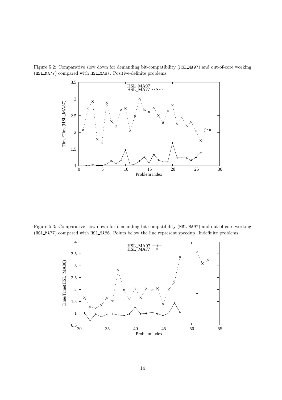Figure 5.2: Comparative slow down for demanding bit-compatibility (HSL MA97) and out-of-core working (HSL MA77) compared with HSL MA87. Positive-definite problems.



Figure 5.3: Comparative slow down for demanding bit-compatibility (HSL MA97) and out-of-core working (HSL MA77) compared with HSL MA86. Points below the line represent speedup. Indefinite problems.

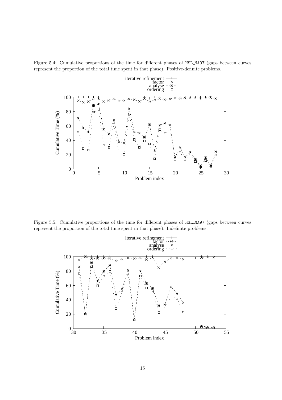Figure 5.4: Cumulative proportions of the time for different phases of HSL MA97 (gaps between curves represent the proportion of the total time spent in that phase). Positive-definite problems.



Figure 5.5: Cumulative proportions of the time for different phases of HSL MA97 (gaps between curves represent the proportion of the total time spent in that phase). Indefinite problems.

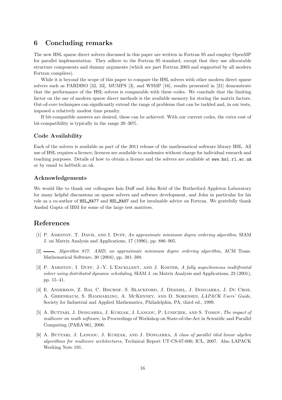# 6 Concluding remarks

The new HSL sparse direct solvers discussed in this paper are written in Fortran 95 and employ OpenMP for parallel implementation. They adhere to the Fortran 95 standard, except that they use allocatable structure components and dummy arguments (which are part Fortran 2003 and supported by all modern Fortran compilers).

While it is beyond the scope of this paper to compare the HSL solvers with other modern direct sparse solvers such as PARDISO [32, 33], MUMPS [3], and WSMP [16], results presented in [21] demonstrate that the performance of the HSL solvers is comparable with these codes. We conclude that the limiting factor on the use of modern sparse direct methods is the available memory for storing the matrix factors. Out-of-core techniques can significantly extend the range of problems that can be tackled and, in our tests, imposed a relatively modest time penalty.

If bit-compatible answers are desired, these can be achieved. With our current codes, the extra cost of bit-compatibility is typically in the range 20–30%.

### Code Availability

Each of the solvers is available as part of the 2011 release of the mathematical software library HSL. All use of HSL requires a licence; licences are available to academics without charge for individual research and teaching purposes. Details of how to obtain a licence and the solvers are available at www.hsl.rl.ac.uk or by email to hsl@stfc.ac.uk.

#### Acknowledgements

We would like to thank our colleagues Iain Duff and John Reid of the Rutherford Appleton Laboratory for many helpful discussions on sparse solvers and software development, and John in particular for his role as a co-author of HSL\_MA77 and HSL\_MA87 and for invaluable advice on Fortran. We gratefully thank Anshul Gupta of IBM for some of the large test matrices.

# References

- [1] P. AMESTOY, T. DAVIS, AND I. DUFF, An approximate minimum degree ordering algorithm, SIAM J. on Matrix Analysis and Applications, 17 (1996), pp. 886–905.
- [2]  $\_\_\_\_\$  Algorithm 837: AMD, an approximate minimum degree ordering algorithm, ACM Trans. Mathematical Software, 30 (2004), pp. 381–388.
- [3] P. AMESTOY, I. DUFF, J.-Y. L'EXCELLENT, AND J. KOSTER, A fully asynchronous multifrontal solver using distributed dynamic scheduling, SIAM J. on Matrix Analysis and Applications, 23 (2001), pp. 15–41.
- [4] E. Anderson, Z. Bai, C. Bischof, S. Blackford, J. Demmel, J. Dongarra, J. Du Croz, A. Greenbaum, S. Hammarling, A. McKenney, and D. Sorensen, LAPACK Users' Guide, Society for Industrial and Applied Mathematics, Philadelphia, PA, third ed., 1999.
- [5] A. BUTTARI, J. DONGARRA, J. KURZAK, J. LANGOU, P. LUSZCZEK, AND S. TOMOV, The impact of multicore on math software, in Proceedings of Workshop on State-of-the-Art in Scientific and Parallel Computing (PARA'06), 2006.
- [6] A. BUTTARI, J. LANGOU, J. KURZAK, AND J. DONGARRA, A class of parallel tiled linear algebra algorithms for multicore architectures, Technical Report UT-CS-07-600, ICL, 2007. Also LAPACK Working Note 191.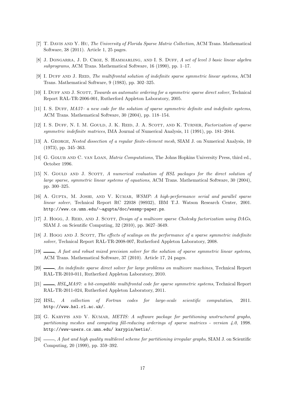- [7] T. Davis and Y. Hu, The University of Florida Sparse Matrix Collection, ACM Trans. Mathematical Software, 38 (2011). Article 1, 25 pages.
- [8] J. DONGARRA, J. D. CROZ, S. HAMMARLING, AND I. S. DUFF, A set of level 3 basic linear algebra subprograms, ACM Trans. Mathematical Software, 16 (1990), pp. 1–17.
- [9] I. DUFF AND J. REID, The multifrontal solution of indefinite sparse symmetric linear systems, ACM Trans. Mathematical Software, 9 (1983), pp. 302–325.
- [10] I. DUFF AND J. SCOTT, Towards an automatic ordering for a symmetric sparse direct solver, Technical Report RAL-TR-2006-001, Rutherford Appleton Laboratory, 2005.
- [11] I. S. DUFF, MA57– a new code for the solution of sparse symmetric definite and indefinite systems, ACM Trans. Mathematical Software, 30 (2004), pp. 118–154.
- [12] I. S. DUFF, N. I. M. GOULD, J. K. REID, J. A. SCOTT, AND K. TURNER, Factorization of sparse symmetric indefinite matrices, IMA Journal of Numerical Analysis, 11 (1991), pp. 181–2044.
- [13] A. GEORGE, Nested dissection of a regular finite-element mesh, SIAM J. on Numerical Analysis, 10 (1973), pp. 345–363.
- [14] G. GOLUB AND C. VAN LOAN, *Matrix Computations*, The Johns Hopkins University Press, third ed., October 1996.
- [15] N. GOULD AND J. SCOTT, A numerical evaluation of HSL packages for the direct solution of large sparse, symmetric linear systems of equations, ACM Trans. Mathematical Software, 30 (2004), pp. 300–325.
- [16] A. GUPTA, M. JOSHI, AND V. KUMAR, WSMP: A high-performance serial and parallel sparse linear solver, Technical Report RC 22038 (98932), IBM T.J. Watson Research Center, 2001. http://www.cs.umn.edu/∼agupta/doc/wssmp-paper.ps.
- [17] J. Hogg, J. REID, AND J. SCOTT, Design of a multicore sparse Cholesky factorization using DAGs, SIAM J. on Scientific Computing, 32 (2010), pp. 3627–3649.
- [18] J. Hogg AND J. SCOTT, The effects of scalings on the performance of a sparse symmetric indefinite solver, Technical Report RAL-TR-2008-007, Rutherford Appleton Laboratory, 2008.
- [19]  $\_\_\_\_\$  A fast and robust mixed precision solver for the solution of sparse symmetric linear systems, ACM Trans. Mathematical Software, 37 (2010). Article 17, 24 pages.
- [20] , An indefinite sparse direct solver for large problems on multicore machines, Technical Report RAL-TR-2010-011, Rutherford Appleton Laboratory, 2010.
- [21]  $\_\_\_\_\$ , HSL\_MA97: a bit-compatible multifrontal code for sparse symmetric systems, Technical Report RAL-TR-2011-024, Rutherford Appleton Laboratory, 2011.
- [22] HSL, A collection of Fortran codes for large-scale scientific computation, 2011. http://www.hsl.rl.ac.uk/.
- [23] G. KARYPIS AND V. KUMAR, *METIS: A software package for partitioning unstructured graphs*, partitioning meshes and computing fill-reducing orderings of sparse matrices - version  $4.0$ , 1998. http://www-users.cs.umn.edu/ karypis/metis/.
- $[24]$  , A fast and high quality multilevel scheme for partitioning irregular graphs, SIAM J. on Scientific Computing, 20 (1999), pp. 359–392.